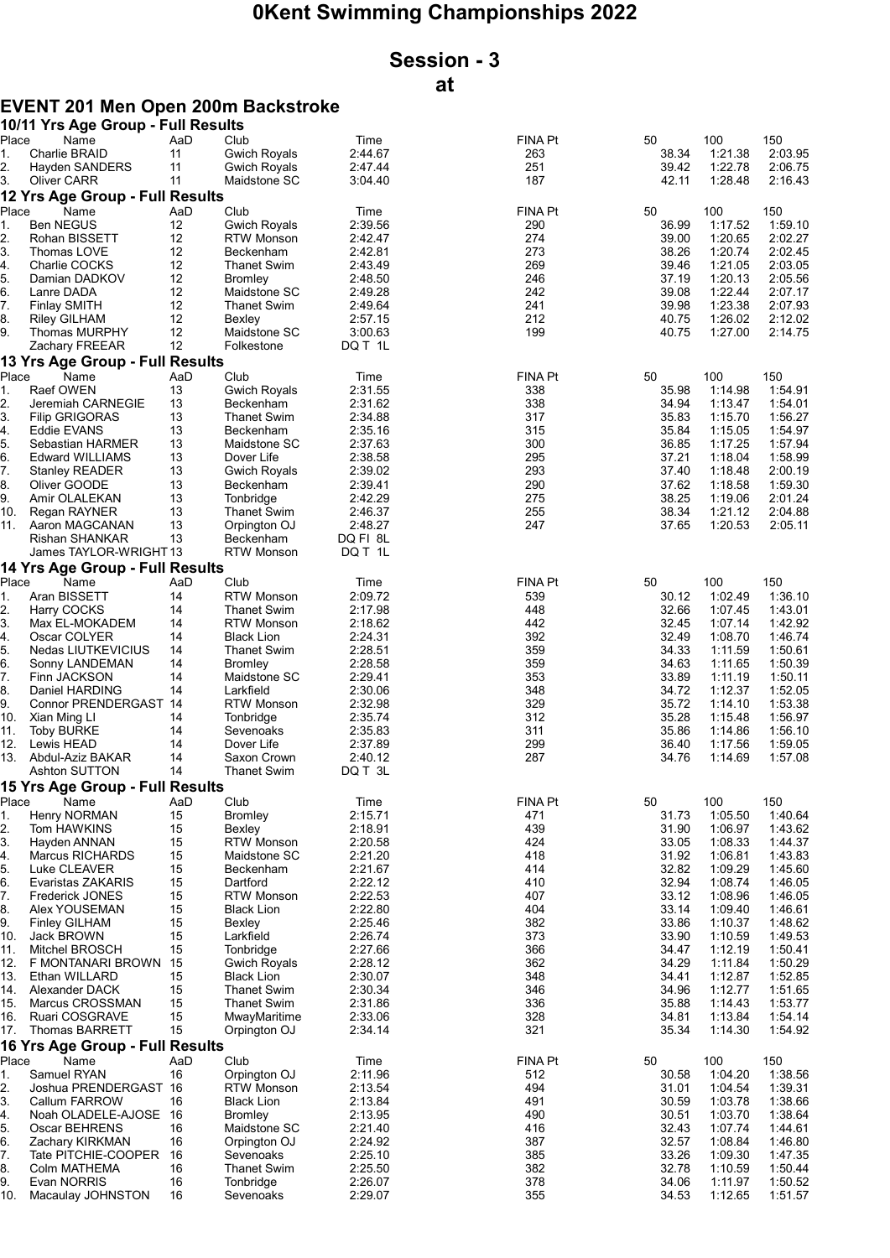## 0Kent Swimming Championships 2022

## Session - 3 at

## EVENT 201 Men Open 200m Backstroke

|             | 10/11 Yrs Age Group - Full Results         |           |                                            |                    |                |                |                    |                    |
|-------------|--------------------------------------------|-----------|--------------------------------------------|--------------------|----------------|----------------|--------------------|--------------------|
| Place       | Name                                       | AaD       | Club                                       | Time               | FINA Pt        | 50             | 100                | 150                |
| 1.<br>2.    | Charlie BRAID<br>Hayden SANDERS            | 11<br>11  | <b>Gwich Royals</b><br><b>Gwich Royals</b> | 2:44.67<br>2:47.44 | 263<br>251     | 38.34<br>39.42 | 1:21.38<br>1:22.78 | 2:03.95<br>2:06.75 |
| 3.          | <b>Oliver CARR</b>                         | 11        | Maidstone SC                               | 3:04.40            | 187            | 42.11          | 1:28.48            | 2:16.43            |
|             | 12 Yrs Age Group - Full Results            |           |                                            |                    |                |                |                    |                    |
| Place       | Name                                       | AaD       | Club                                       | Time               | FINA Pt        | 50             | 100                | 150                |
| 1.          | <b>Ben NEGUS</b>                           | 12        | <b>Gwich Royals</b>                        | 2:39.56            | 290            | 36.99          | 1:17.52            | 1:59.10            |
| 2.          | Rohan BISSETT                              | 12        | <b>RTW Monson</b>                          | 2:42.47            | 274            | 39.00          | 1:20.65            | 2:02.27            |
| 3.          | Thomas LOVE                                | 12        | Beckenham                                  | 2:42.81            | 273            | 38.26          | 1:20.74            | 2:02.45            |
| 4.          | Charlie COCKS                              | 12        | <b>Thanet Swim</b>                         | 2:43.49            | 269            | 39.46          | 1:21.05            | 2:03.05            |
| 5.          | Damian DADKOV                              | 12        | <b>Bromley</b>                             | 2:48.50            | 246            | 37.19          | 1:20.13            | 2:05.56            |
| 6.<br>7.    | Lanre DADA<br><b>Finlay SMITH</b>          | 12<br>12  | Maidstone SC<br><b>Thanet Swim</b>         | 2:49.28<br>2:49.64 | 242<br>241     | 39.08<br>39.98 | 1:22.44<br>1:23.38 | 2:07.17<br>2:07.93 |
| 8.          | <b>Riley GILHAM</b>                        | 12        | Bexley                                     | 2:57.15            | 212            | 40.75          | 1:26.02            | 2:12.02            |
| 9.          | <b>Thomas MURPHY</b>                       | 12        | Maidstone SC                               | 3:00.63            | 199            | 40.75          | 1:27.00            | 2:14.75            |
|             | Zachary FREEAR                             | 12        | Folkestone                                 | DQ T 1L            |                |                |                    |                    |
|             | 13 Yrs Age Group - Full Results            |           |                                            |                    |                |                |                    |                    |
| Place       | Name                                       | AaD       | Club                                       | Time               | FINA Pt        | 50             | 100                | 150                |
| 1.          | Raef OWEN                                  | 13        | <b>Gwich Royals</b>                        | 2:31.55            | 338            | 35.98          | 1:14.98            | 1:54.91            |
| 2.          | Jeremiah CARNEGIE                          | 13        | Beckenham                                  | 2:31.62            | 338            | 34.94          | 1:13.47            | 1:54.01            |
| 3.          | <b>Filip GRIGORAS</b>                      | 13        | <b>Thanet Swim</b>                         | 2:34.88            | 317            | 35.83          | 1:15.70            | 1:56.27            |
| 4.<br>5.    | <b>Eddie EVANS</b>                         | 13<br>13  | Beckenham                                  | 2:35.16<br>2:37.63 | 315<br>300     | 35.84<br>36.85 | 1:15.05            | 1:54.97<br>1:57.94 |
| 6.          | Sebastian HARMER<br><b>Edward WILLIAMS</b> | 13        | Maidstone SC<br>Dover Life                 | 2:38.58            | 295            | 37.21          | 1:17.25<br>1:18.04 | 1:58.99            |
| 7.          | <b>Stanley READER</b>                      | 13        | Gwich Royals                               | 2:39.02            | 293            | 37.40          | 1:18.48            | 2:00.19            |
| 8.          | Oliver GOODE                               | 13        | Beckenham                                  | 2:39.41            | 290            | 37.62          | 1:18.58            | 1:59.30            |
| 9.          | Amir OLALEKAN                              | 13        | Tonbridge                                  | 2:42.29            | 275            | 38.25          | 1:19.06            | 2:01.24            |
| 10.         | Regan RAYNER                               | 13        | <b>Thanet Swim</b>                         | 2:46.37            | 255            | 38.34          | 1:21.12            | 2:04.88            |
| 11.         | Aaron MAGCANAN                             | 13        | Orpington OJ                               | 2:48.27            | 247            | 37.65          | 1:20.53            | 2:05.11            |
|             | <b>Rishan SHANKAR</b>                      | 13        | Beckenham                                  | DQ FI 8L           |                |                |                    |                    |
|             | James TAYLOR-WRIGHT 13                     |           | <b>RTW Monson</b>                          | DQ T 1L            |                |                |                    |                    |
|             | 14 Yrs Age Group - Full Results            |           | Club                                       |                    | <b>FINA Pt</b> |                |                    |                    |
| Place<br>1. | Name<br>Aran BISSETT                       | AaD<br>14 | <b>RTW Monson</b>                          | Time<br>2:09.72    | 539            | 50<br>30.12    | 100<br>1:02.49     | 150<br>1:36.10     |
| 2.          | Harry COCKS                                | 14        | <b>Thanet Swim</b>                         | 2:17.98            | 448            | 32.66          | 1:07.45            | 1:43.01            |
| 3.          | Max EL-MOKADEM                             | 14        | <b>RTW Monson</b>                          | 2:18.62            | 442            | 32.45          | 1:07.14            | 1:42.92            |
| 4.          | Oscar COLYER                               | 14        | <b>Black Lion</b>                          | 2:24.31            | 392            | 32.49          | 1:08.70            | 1:46.74            |
| 5.          | Nedas LIUTKEVICIUS                         | 14        | <b>Thanet Swim</b>                         | 2:28.51            | 359            | 34.33          | 1:11.59            | 1:50.61            |
| 6.          | Sonny LANDEMAN                             | 14        | <b>Bromley</b>                             | 2:28.58            | 359            | 34.63          | 1:11.65            | 1:50.39            |
| 7.          | Finn JACKSON                               | 14        | Maidstone SC                               | 2:29.41            | 353            | 33.89          | 1:11.19            | 1:50.11            |
| 8.          | Daniel HARDING                             | 14        | Larkfield                                  | 2:30.06            | 348            | 34.72          | 1:12.37            | 1:52.05            |
| 9.<br>10.   | Connor PRENDERGAST                         | 14<br>14  | <b>RTW Monson</b>                          | 2:32.98<br>2:35.74 | 329<br>312     | 35.72<br>35.28 | 1:14.10            | 1:53.38<br>1:56.97 |
| 11.         | Xian Ming LI<br><b>Toby BURKE</b>          | 14        | Tonbridge<br>Sevenoaks                     | 2:35.83            | 311            | 35.86          | 1:15.48<br>1:14.86 | 1:56.10            |
| 12.         | Lewis HEAD                                 | 14        | Dover Life                                 | 2:37.89            | 299            | 36.40          | 1:17.56            | 1:59.05            |
| 13.         | Abdul-Aziz BAKAR                           | 14        | Saxon Crown                                | 2:40.12            | 287            | 34.76          | 1:14.69            | 1:57.08            |
|             | Ashton SUTTON                              | 14        | <b>Thanet Swim</b>                         | DQ T 3L            |                |                |                    |                    |
|             | 15 Yrs Age Group - Full Results            |           |                                            |                    |                |                |                    |                    |
| Place       | Name                                       | AaD       | Club                                       | Time               | <b>FINA Pt</b> | 50             | 100                | 150                |
| 1.          | <b>Henry NORMAN</b>                        | 15        | <b>Bromley</b>                             | 2:15.71            | 471            | 31.73          | 1:05.50            | 1:40.64            |
| 2.          | Tom HAWKINS                                | 15        | Bexley                                     | 2:18.91            | 439            | 31.90          | 1:06.97            | 1:43.62            |
| 3.          | Hayden ANNAN                               | 15        | <b>RTW Monson</b>                          | 2:20.58            | 424            | 33.05          | 1:08.33            | 1:44.37            |
| 4.          | Marcus RICHARDS                            | 15        | Maidstone SC<br>Beckenham                  | 2:21.20            | 418            | 31.92          | 1:06.81            | 1:43.83            |
| 5.<br>6.    | Luke CLEAVER<br>Evaristas ZAKARIS          | 15<br>15  | Dartford                                   | 2:21.67<br>2:22.12 | 414<br>410     | 32.82<br>32.94 | 1:09.29<br>1:08.74 | 1:45.60<br>1:46.05 |
| 7.          | <b>Frederick JONES</b>                     | 15        | <b>RTW Monson</b>                          | 2:22.53            | 407            | 33.12          | 1:08.96            | 1:46.05            |
| 8.          | Alex YOUSEMAN                              | 15        | <b>Black Lion</b>                          | 2:22.80            | 404            | 33.14          | 1:09.40            | 1:46.61            |
| 9.          | <b>Finley GILHAM</b>                       | 15        | Bexley                                     | 2:25.46            | 382            | 33.86          | 1:10.37            | 1:48.62            |
| 10.         | Jack BROWN                                 | 15        | Larkfield                                  | 2:26.74            | 373            | 33.90          | 1:10.59            | 1:49.53            |
| 11.         | Mitchel BROSCH                             | 15        | Tonbridge                                  | 2:27.66            | 366            | 34.47          | 1:12.19            | 1:50.41            |
| 12.         | F MONTANARI BROWN                          | 15        | <b>Gwich Royals</b>                        | 2:28.12            | 362            | 34.29          | 1:11.84            | 1:50.29            |
| 13.         | Ethan WILLARD                              | 15        | <b>Black Lion</b>                          | 2:30.07            | 348            | 34.41          | 1:12.87            | 1:52.85            |
| 14.<br>15.  | Alexander DACK<br>Marcus CROSSMAN          | 15<br>15  | <b>Thanet Swim</b><br><b>Thanet Swim</b>   | 2:30.34<br>2:31.86 | 346<br>336     | 34.96<br>35.88 | 1:12.77<br>1:14.43 | 1:51.65<br>1:53.77 |
| 16.         | Ruari COSGRAVE                             | 15        | MwayMaritime                               | 2:33.06            | 328            | 34.81          | 1:13.84            | 1:54.14            |
| 17.         | Thomas BARRETT                             | 15        | Orpington OJ                               | 2:34.14            | 321            | 35.34          | 1:14.30            | 1:54.92            |
|             | 16 Yrs Age Group - Full Results            |           |                                            |                    |                |                |                    |                    |
| Place       | Name                                       | AaD       | Club                                       | Time               | <b>FINA Pt</b> | 50             | 100                | 150                |
| 1.          | Samuel RYAN                                | 16        | Orpington OJ                               | 2:11.96            | 512            | 30.58          | 1:04.20            | 1:38.56            |
| 2.          | Joshua PRENDERGAST 16                      |           | RTW Monson                                 | 2:13.54            | 494            | 31.01          | 1:04.54            | 1:39.31            |
| 3.          | Callum FARROW                              | 16        | <b>Black Lion</b>                          | 2:13.84            | 491            | 30.59          | 1:03.78            | 1:38.66            |
| 4.          | Noah OLADELE-AJOSE 16                      |           | <b>Bromley</b>                             | 2:13.95            | 490            | 30.51          | 1:03.70            | 1:38.64            |
| 5.          | Oscar BEHRENS                              | 16<br>16  | Maidstone SC                               | 2:21.40<br>2:24.92 | 416<br>387     | 32.43<br>32.57 | 1:07.74<br>1:08.84 | 1:44.61<br>1:46.80 |
| 6.<br>7.    | Zachary KIRKMAN<br>Tate PITCHIE-COOPER     | 16        | Orpington OJ<br>Sevenoaks                  | 2:25.10            | 385            | 33.26          | 1:09.30            | 1:47.35            |
| 8.          | Colm MATHEMA                               | 16        | <b>Thanet Swim</b>                         | 2:25.50            | 382            | 32.78          | 1:10.59            | 1:50.44            |
| 9.          | Evan NORRIS                                | 16        | Tonbridge                                  | 2:26.07            | 378            | 34.06          | 1:11.97            | 1:50.52            |
| 10.         | Macaulay JOHNSTON                          | 16        | Sevenoaks                                  | 2:29.07            | 355            | 34.53          | 1:12.65            | 1:51.57            |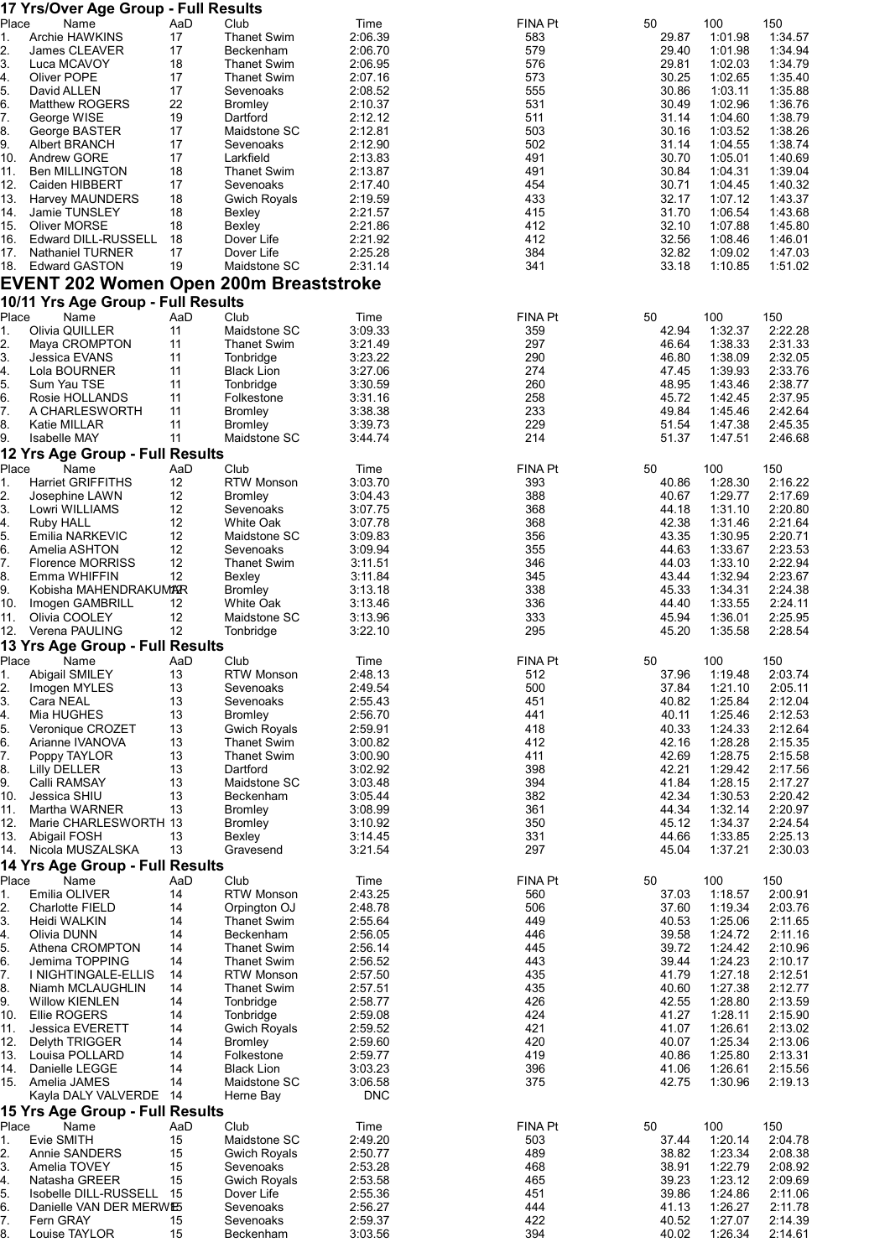|                                 | 17 Yrs/Over Age Group - Full Results                |           |                                       |                    |                       |                |                    |                    |  |
|---------------------------------|-----------------------------------------------------|-----------|---------------------------------------|--------------------|-----------------------|----------------|--------------------|--------------------|--|
| Place<br>1.                     | Name<br><b>Archie HAWKINS</b>                       | AaD<br>17 | Club<br><b>Thanet Swim</b>            | Time<br>2:06.39    | <b>FINA Pt</b><br>583 | 50<br>29.87    | 100<br>1:01.98     | 150<br>1:34.57     |  |
| 2.                              | James CLEAVER                                       | 17        | Beckenham                             | 2:06.70            | 579                   | 29.40          | 1:01.98            | 1:34.94            |  |
| З.                              | Luca MCAVOY                                         | 18        | <b>Thanet Swim</b>                    | 2:06.95            | 576                   | 29.81          | 1:02.03            | 1:34.79            |  |
| 4.                              | Oliver POPE                                         | 17        | <b>Thanet Swim</b>                    | 2:07.16            | 573                   | 30.25          | 1:02.65            | 1:35.40            |  |
| 5.<br>6.                        | David ALLEN<br>Matthew ROGERS                       | 17<br>22  | Sevenoaks<br><b>Bromley</b>           | 2:08.52<br>2:10.37 | 555<br>531            | 30.86<br>30.49 | 1:03.11<br>1:02.96 | 1:35.88<br>1:36.76 |  |
| 7.                              | George WISE                                         | 19        | Dartford                              | 2:12.12            | 511                   | 31.14          | 1:04.60            | 1:38.79            |  |
| 8.                              | George BASTER                                       | 17        | Maidstone SC                          | 2:12.81            | 503                   | 30.16          | 1:03.52            | 1:38.26            |  |
| 9.                              | Albert BRANCH                                       | 17        | Sevenoaks                             | 2:12.90            | 502                   | 31.14          | 1:04.55            | 1:38.74            |  |
| 10.<br>11.                      | <b>Andrew GORE</b><br><b>Ben MILLINGTON</b>         | 17<br>18  | Larkfield<br><b>Thanet Swim</b>       | 2:13.83<br>2:13.87 | 491<br>491            | 30.70<br>30.84 | 1:05.01<br>1:04.31 | 1:40.69<br>1:39.04 |  |
| 12.                             | Caiden HIBBERT                                      | 17        | Sevenoaks                             | 2:17.40            | 454                   | 30.71          | 1:04.45            | 1:40.32            |  |
| 13.                             | <b>Harvey MAUNDERS</b>                              | 18        | <b>Gwich Royals</b>                   | 2:19.59            | 433                   | 32.17          | 1:07.12            | 1:43.37            |  |
| 14.                             | <b>Jamie TUNSLEY</b>                                | 18        | Bexley                                | 2:21.57            | 415                   | 31.70          | 1:06.54            | 1:43.68            |  |
| 15.                             | <b>Oliver MORSE</b>                                 | 18        | Bexley                                | 2:21.86            | 412                   | 32.10          | 1:07.88            | 1:45.80            |  |
| 16.<br>17.                      | Edward DILL-RUSSELL<br><b>Nathaniel TURNER</b>      | 18<br>17  | Dover Life<br>Dover Life              | 2:21.92<br>2:25.28 | 412<br>384            | 32.56<br>32.82 | 1:08.46<br>1:09.02 | 1:46.01<br>1:47.03 |  |
| 18.                             | <b>Edward GASTON</b>                                | 19        | Maidstone SC                          | 2:31.14            | 341                   | 33.18          | 1:10.85            | 1:51.02            |  |
|                                 | EVENT 202 Women Open 200m Breaststroke              |           |                                       |                    |                       |                |                    |                    |  |
|                                 | 10/11 Yrs Age Group - Full Results                  |           |                                       |                    |                       |                |                    |                    |  |
| Place                           | Name                                                | AaD       | Club                                  | Time               | <b>FINA Pt</b>        | 50             | 100                | 150                |  |
| 1.<br>2.                        | Olivia QUILLER<br>Maya CROMPTON                     | 11<br>11  | Maidstone SC<br><b>Thanet Swim</b>    | 3:09.33<br>3:21.49 | 359<br>297            | 42.94<br>46.64 | 1:32.37<br>1:38.33 | 2:22.28<br>2:31.33 |  |
| 3.                              | Jessica EVANS                                       | 11        | Tonbridge                             | 3:23.22            | 290                   | 46.80          | 1:38.09            | 2:32.05            |  |
| 4.                              | Lola BOURNER                                        | 11        | <b>Black Lion</b>                     | 3:27.06            | 274                   | 47.45          | 1:39.93            | 2:33.76            |  |
| 5.                              | Sum Yau TSE                                         | 11        | Tonbridge                             | 3:30.59            | 260                   | 48.95          | 1:43.46            | 2:38.77            |  |
| 6.                              | Rosie HOLLANDS                                      | 11        | Folkestone                            | 3:31.16            | 258                   | 45.72          | 1:42.45            | 2:37.95            |  |
| 7.<br>8.                        | A CHARLESWORTH<br>Katie MILLAR                      | 11<br>11  | <b>Bromley</b><br><b>Bromley</b>      | 3:38.38<br>3:39.73 | 233<br>229            | 49.84<br>51.54 | 1:45.46<br>1:47.38 | 2:42.64<br>2:45.35 |  |
| 9.                              | <b>Isabelle MAY</b>                                 | 11        | Maidstone SC                          | 3:44.74            | 214                   | 51.37          | 1:47.51            | 2:46.68            |  |
|                                 | 12 Yrs Age Group - Full Results                     |           |                                       |                    |                       |                |                    |                    |  |
| Place                           | Name                                                | AaD       | Club                                  | Time               | <b>FINA Pt</b>        | 50             | 100                | 150                |  |
| 1.                              | Harriet GRIFFITHS                                   | 12        | <b>RTW Monson</b>                     | 3:03.70            | 393<br>388            | 40.86          | 1:28.30            | 2:16.22            |  |
| 2.<br>3.                        | Josephine LAWN<br>Lowri WILLIAMS                    | 12<br>12  | <b>Bromley</b><br>Sevenoaks           | 3:04.43<br>3:07.75 | 368                   | 40.67<br>44.18 | 1:29.77<br>1:31.10 | 2:17.69<br>2:20.80 |  |
| 4.                              | Ruby HALL                                           | 12        | White Oak                             | 3:07.78            | 368                   | 42.38          | 1:31.46            | 2:21.64            |  |
| 5.                              | Emilia NARKEVIC                                     | 12        | Maidstone SC                          | 3:09.83            | 356                   | 43.35          | 1:30.95            | 2:20.71            |  |
| 6.                              | Amelia ASHTON                                       | 12        | Sevenoaks                             | 3:09.94            | 355                   | 44.63          | 1:33.67            | 2:23.53            |  |
| 7.<br>8.                        | <b>Florence MORRISS</b><br>Emma WHIFFIN             | 12<br>12  | <b>Thanet Swim</b><br>Bexley          | 3:11.51<br>3:11.84 | 346<br>345            | 44.03<br>43.44 | 1:33.10<br>1:32.94 | 2:22.94<br>2:23.67 |  |
| 9.                              | Kobisha MAHENDRAKUMAR                               |           | <b>Bromley</b>                        | 3:13.18            | 338                   | 45.33          | 1:34.31            | 2:24.38            |  |
| 10.                             | Imogen GAMBRILL                                     | 12        | White Oak                             | 3:13.46            | 336                   | 44.40          | 1:33.55            | 2:24.11            |  |
| 11.                             | Olivia COOLEY                                       | 12        | Maidstone SC                          | 3:13.96            | 333                   | 45.94          | 1:36.01            | 2:25.95            |  |
| 12.                             | Verena PAULING<br>13 Yrs Age Group - Full Results   | 12        | Tonbridge                             | 3:22.10            | 295                   | 45.20          | 1:35.58            | 2:28.54            |  |
| Place                           | Name                                                | AaD       | Club                                  | Time               | <b>FINA Pt</b>        | 50             | 100                | 150                |  |
| 1.                              | Abigail SMILEY                                      | 13        | <b>RTW Monson</b>                     | 2:48.13            | 512                   | 37.96          | 1:19.48            | 2:03.74            |  |
| 2.                              | Imogen MYLES                                        | 13        | Sevenoaks                             | 2:49.54            | 500                   | 37.84          | 1:21.10            | 2:05.11            |  |
| 3.                              | Cara NEAL                                           | 13        | Sevenoaks                             | 2:55.43            | 451<br>441            | 40.82          | 1:25.84            | 2:12.04            |  |
| 4.<br>5.                        | Mia HUGHES<br>Veronique CROZET                      | 13<br>13  | <b>Bromley</b><br><b>Gwich Royals</b> | 2:56.70<br>2:59.91 | 418                   | 40.11<br>40.33 | 1:25.46<br>1:24.33 | 2:12.53<br>2:12.64 |  |
| 6.                              | Arianne IVANOVA                                     | 13        | <b>Thanet Swim</b>                    | 3:00.82            | 412                   | 42.16          | 1:28.28            | 2:15.35            |  |
| 7.                              | Poppy TAYLOR                                        | 13        | <b>Thanet Swim</b>                    | 3:00.90            | 411                   | 42.69          | 1:28.75            | 2:15.58            |  |
| 8.                              | Lilly DELLER                                        | 13        | Dartford                              | 3:02.92            | 398                   | 42.21          | 1:29.42            | 2:17.56            |  |
| 9.<br>10.                       | Calli RAMSAY<br>Jessica SHIU                        | 13<br>13  | Maidstone SC<br>Beckenham             | 3:03.48<br>3:05.44 | 394<br>382            | 41.84<br>42.34 | 1:28.15<br>1:30.53 | 2:17.27<br>2:20.42 |  |
| 11.                             | Martha WARNER                                       | 13        | <b>Bromley</b>                        | 3:08.99            | 361                   | 44.34          | 1:32.14            | 2:20.97            |  |
| 12.                             | Marie CHARLESWORTH 13                               |           | <b>Bromley</b>                        | 3:10.92            | 350                   | 45.12          | 1:34.37            | 2:24.54            |  |
| 13.                             | Abigail FOSH                                        | 13        | Bexley                                | 3:14.45            | 331                   | 44.66          | 1:33.85            | 2:25.13            |  |
| 14.                             | Nicola MUSZALSKA<br>14 Yrs Age Group - Full Results | 13        | Gravesend                             | 3:21.54            | 297                   | 45.04          | 1:37.21            | 2:30.03            |  |
| Place                           | Name                                                | AaD       | Club                                  | Time               | FINA Pt               | 50             | 100                | 150                |  |
| 1.                              | Emilia OLIVER                                       | 14        | <b>RTW Monson</b>                     | 2:43.25            | 560                   | 37.03          | 1:18.57            | 2:00.91            |  |
| 2.                              | Charlotte FIELD                                     | 14        | Orpington OJ                          | 2:48.78            | 506                   | 37.60          | 1:19.34            | 2:03.76            |  |
| 3.                              | Heidi WALKIN<br>Olivia DUNN                         | 14<br>14  | <b>Thanet Swim</b>                    | 2:55.64<br>2:56.05 | 449<br>446            | 40.53<br>39.58 | 1:25.06<br>1:24.72 | 2:11.65<br>2:11.16 |  |
| 4.<br>5.                        | Athena CROMPTON                                     | 14        | Beckenham<br><b>Thanet Swim</b>       | 2:56.14            | 445                   | 39.72          | 1:24.42            | 2:10.96            |  |
| 6.                              | Jemima TOPPING                                      | 14        | <b>Thanet Swim</b>                    | 2:56.52            | 443                   | 39.44          | 1:24.23            | 2:10.17            |  |
| 7.                              | I NIGHTINGALE-ELLIS                                 | 14        | <b>RTW Monson</b>                     | 2:57.50            | 435                   | 41.79          | 1:27.18            | 2:12.51            |  |
| 8.                              | Niamh MCLAUGHLIN                                    | 14        | <b>Thanet Swim</b>                    | 2:57.51            | 435                   | 40.60          | 1:27.38            | 2:12.77            |  |
| 9.<br>10.                       | <b>Willow KIENLEN</b><br>Ellie ROGERS               | 14<br>14  | Tonbridge<br>Tonbridge                | 2:58.77<br>2:59.08 | 426<br>424            | 42.55<br>41.27 | 1:28.80<br>1:28.11 | 2:13.59<br>2:15.90 |  |
| 11.                             | Jessica EVERETT                                     | 14        | <b>Gwich Royals</b>                   | 2:59.52            | 421                   | 41.07          | 1:26.61            | 2:13.02            |  |
| 12.                             | Delyth TRIGGER                                      | 14        | <b>Bromley</b>                        | 2:59.60            | 420                   | 40.07          | 1:25.34            | 2:13.06            |  |
| 13.                             | Louisa POLLARD                                      | 14        | Folkestone                            | 2:59.77            | 419                   | 40.86          | 1:25.80            | 2:13.31            |  |
| 14.<br>15.                      | Danielle LEGGE<br>Amelia JAMES                      | 14<br>14  | <b>Black Lion</b><br>Maidstone SC     | 3:03.23<br>3:06.58 | 396<br>375            | 41.06<br>42.75 | 1:26.61<br>1:30.96 | 2:15.56<br>2:19.13 |  |
|                                 | Kayla DALY VALVERDE 14                              |           | Herne Bay                             | <b>DNC</b>         |                       |                |                    |                    |  |
| 15 Yrs Age Group - Full Results |                                                     |           |                                       |                    |                       |                |                    |                    |  |
| Place                           | Name                                                | AaD       | Club<br>Maidstone SC                  | Time               | FINA Pt               | 50             | 100                | 150<br>2:04.78     |  |
| 1.<br>2.                        | Evie SMITH<br>Annie SANDERS                         | 15<br>15  | <b>Gwich Royals</b>                   | 2:49.20<br>2:50.77 | 503<br>489            | 37.44<br>38.82 | 1:20.14<br>1:23.34 | 2:08.38            |  |
| 3.                              | Amelia TOVEY                                        | 15        | Sevenoaks                             | 2:53.28            | 468                   | 38.91          | 1:22.79            | 2:08.92            |  |
|                                 | Natasha GREER                                       | 15        | <b>Gwich Royals</b>                   | 2:53.58            | 465                   | 39.23          | 1:23.12            | 2:09.69            |  |
| 4.                              |                                                     |           |                                       |                    |                       |                |                    |                    |  |
| 5.                              | Isobelle DILL-RUSSELL 15                            |           | Dover Life                            | 2:55.36            | 451                   | 39.86          | 1:24.86            | 2:11.06            |  |
| 6.                              | Danielle VAN DER MERWE5                             |           | Sevenoaks                             | 2:56.27            | 444                   | 41.13          | 1:26.27            | 2:11.78            |  |
| 7.<br>8.                        | Fern GRAY<br>Louise TAYLOR                          | 15<br>15  | Sevenoaks<br>Beckenham                | 2:59.37<br>3:03.56 | 422<br>394            | 40.52<br>40.02 | 1:27.07<br>1:26.34 | 2:14.39<br>2:14.61 |  |